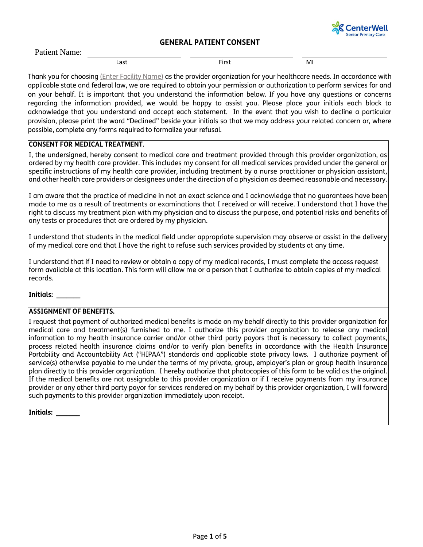

Patient Name:

Last **Example 18** Contract First **First** MI

Thank you for choosing (Enter Facility Name) as the provider organization for your healthcare needs. In accordance with applicable state and federal law, we are required to obtain your permission or authorization to perform services for and on your behalf. It is important that you understand the information below. If you have any questions or concerns regarding the information provided, we would be happy to assist you. Please place your initials each block to acknowledge that you understand and accept each statement. In the event that you wish to decline a particular provision, please print the word "Declined" beside your initials so that we may address your related concern or, where possible, complete any forms required to formalize your refusal.

## **CONSENT FOR MEDICAL TREATMENT**.

I, the undersigned, hereby consent to medical care and treatment provided through this provider organization, as ordered by my health care provider. This includes my consent for all medical services provided under the general or specific instructions of my health care provider, including treatment by a nurse practitioner or physician assistant, and other health care providers or designees under the direction of a physician as deemed reasonable and necessary.

I am aware that the practice of medicine in not an exact science and I acknowledge that no guarantees have been made to me as a result of treatments or examinations that I received or will receive. I understand that I have the right to discuss my treatment plan with my physician and to discuss the purpose, and potential risks and benefits of any tests or procedures that are ordered by my physician.

I understand that students in the medical field under appropriate supervision may observe or assist in the delivery of my medical care and that I have the right to refuse such services provided by students at any time.

I understand that if I need to review or obtain a copy of my medical records, I must complete the access request form available at this location. This form will allow me or a person that I authorize to obtain copies of my medical records.

**Initials: \_\_\_\_\_\_\_**

#### **ASSIGNMENT OF BENEFITS.**

I request that payment of authorized medical benefits is made on my behalf directly to this provider organization for medical care and treatment(s) furnished to me. I authorize this provider organization to release any medical information to my health insurance carrier and/or other third party payors that is necessary to collect payments, process related health insurance claims and/or to verify plan benefits in accordance with the Health Insurance Portability and Accountability Act ("HIPAA") standards and applicable state privacy laws. I authorize payment of service(s) otherwise payable to me under the terms of my private, group, employer's plan or group health insurance plan directly to this provider organization. I hereby authorize that photocopies of this form to be valid as the original. If the medical benefits are not assignable to this provider organization or if I receive payments from my insurance provider or any other third party payor for services rendered on my behalf by this provider organization, I will forward such payments to this provider organization immediately upon receipt.

**Initials: \_\_\_\_\_\_\_**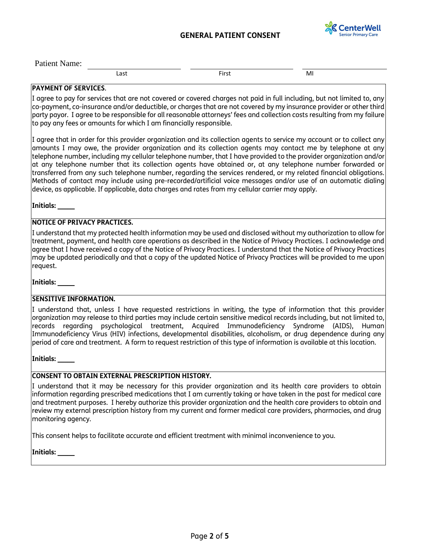

Patient Name:

Last **Example 18** Contract First **Contract Contract Contract Contract Contract Contract Contract Contract Contract Contract Contract Contract Contract Contract Contract Contract Contract Contract Contract Contract Contract** 

### **PAYMENT OF SERVICES**.

I agree to pay for services that are not covered or covered charges not paid in full including, but not limited to, any co-payment, co-insurance and/or deductible, or charges that are not covered by my insurance provider or other third party payor. I agree to be responsible for all reasonable attorneys' fees and collection costs resulting from my failure to pay any fees or amounts for which I am financially responsible.

I agree that in order for this provider organization and its collection agents to service my account or to collect any amounts I may owe, the provider organization and its collection agents may contact me by telephone at any telephone number, including my cellular telephone number, that I have provided to the provider organization and/or at any telephone number that its collection agents have obtained or, at any telephone number forwarded or transferred from any such telephone number, regarding the services rendered, or my related financial obligations. Methods of contact may include using pre-recorded/artificial voice messages and/or use of an automatic dialing device, as applicable. If applicable, data charges and rates from my cellular carrier may apply.

**Initials: \_\_\_\_\_**

## **NOTICE OF PRIVACY PRACTICES.**

I understand that my protected health information may be used and disclosed without my authorization to allow for treatment, payment, and health care operations as described in the Notice of Privacy Practices. I acknowledge and agree that I have received a copy of the Notice of Privacy Practices. I understand that the Notice of Privacy Practices may be updated periodically and that a copy of the updated Notice of Privacy Practices will be provided to me upon request.

**Initials: \_\_\_\_\_**

#### **SENSITIVE INFORMATION.**

I understand that, unless I have requested restrictions in writing, the type of information that this provider organization may release to third parties may include certain sensitive medical records including, but not limited to, records regarding psychological treatment, Acquired Immunodeficiency Syndrome (AIDS), Human Immunodeficiency Virus (HIV) infections, developmental disabilities, alcoholism, or drug dependence during any period of care and treatment. A form to request restriction of this type of information is available at this location.

**Initials: \_\_\_\_\_**

#### **CONSENT TO OBTAIN EXTERNAL PRESCRIPTION HISTORY.**

I understand that it may be necessary for this provider organization and its health care providers to obtain information regarding prescribed medications that I am currently taking or have taken in the past for medical care and treatment purposes. I hereby authorize this provider organization and the health care providers to obtain and review my external prescription history from my current and former medical care providers, pharmacies, and drug monitoring agency.

This consent helps to facilitate accurate and efficient treatment with minimal inconvenience to you.

**Initials: \_\_\_\_\_**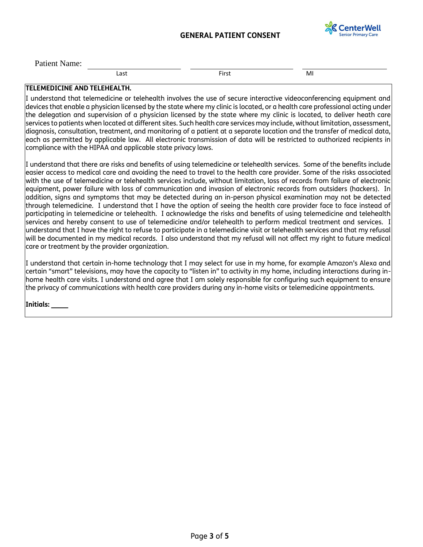

Patient Name:

Last **Example 18** Contract First **Contract Contract Contract Contract Contract Contract Contract Contract Contract Contract Contract Contract Contract Contract Contract Contract Contract Contract Contract Contract Contract** 

### **TELEMEDICINE AND TELEHEALTH.**

I understand that telemedicine or telehealth involves the use of secure interactive videoconferencing equipment and devices that enable a physician licensed by the state where my clinic is located, or a health care professional acting under the delegation and supervision of a physician licensed by the state where my clinic is located, to deliver heath care services to patients when located at different sites. Such health care services may include, without limitation, assessment, diagnosis, consultation, treatment, and monitoring of a patient at a separate location and the transfer of medical data, each as permitted by applicable law. All electronic transmission of data will be restricted to authorized recipients in compliance with the HIPAA and applicable state privacy laws.

I understand that there are risks and benefits of using telemedicine or telehealth services. Some of the benefits include easier access to medical care and avoiding the need to travel to the health care provider. Some of the risks associated with the use of telemedicine or telehealth services include, without limitation, loss of records from failure of electronic equipment, power failure with loss of communication and invasion of electronic records from outsiders (hackers). In addition, signs and symptoms that may be detected during an in-person physical examination may not be detected through telemedicine. I understand that I have the option of seeing the health care provider face to face instead of participating in telemedicine or telehealth. I acknowledge the risks and benefits of using telemedicine and telehealth services and hereby consent to use of telemedicine and/or telehealth to perform medical treatment and services. I understand that I have the right to refuse to participate in a telemedicine visit or telehealth services and that my refusal will be documented in my medical records. I also understand that my refusal will not affect my right to future medical care or treatment by the provider organization.

I understand that certain in-home technology that I may select for use in my home, for example Amazon's Alexa and certain "smart" televisions, may have the capacity to "listen in" to activity in my home, including interactions during inhome health care visits. I understand and agree that I am solely responsible for configuring such equipment to ensure the privacy of communications with health care providers during any in-home visits or telemedicine appointments.

**Initials: \_\_\_\_\_**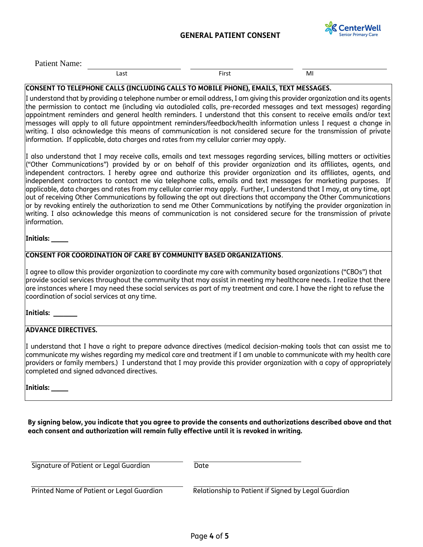

Last **Example 18** Contract First **Contract Contract Contract Contract Contract Contract Contract Contract Contract Contract Contract Contract Contract Contract Contract Contract Contract Contract Contract Contract Contract** 

# **CONSENT TO TELEPHONE CALLS (INCLUDING CALLS TO MOBILE PHONE), EMAILS, TEXT MESSAGES.**

I understand that by providing a telephone number or email address, I am giving this provider organization and its agents the permission to contact me (including via autodialed calls, pre-recorded messages and text messages) regarding appointment reminders and general health reminders. I understand that this consent to receive emails and/or text messages will apply to all future appointment reminders/feedback/health information unless I request a change in writing. I also acknowledge this means of communication is not considered secure for the transmission of private information. If applicable, data charges and rates from my cellular carrier may apply.

I also understand that I may receive calls, emails and text messages regarding services, billing matters or activities ("Other Communications") provided by or on behalf of this provider organization and its affiliates, agents, and independent contractors. I hereby agree and authorize this provider organization and its affiliates, agents, and independent contractors to contact me via telephone calls, emails and text messages for marketing purposes. If applicable, data charges and rates from my cellular carrier may apply. Further, I understand that I may, at any time, opt out of receiving Other Communications by following the opt out directions that accompany the Other Communications or by revoking entirely the authorization to send me Other Communications by notifying the provider organization in writing. I also acknowledge this means of communication is not considered secure for the transmission of private information.

#### **Initials: \_\_\_\_\_**

#### **CONSENT FOR COORDINATION OF CARE BY COMMUNITY BASED ORGANIZATIONS**.

I agree to allow this provider organization to coordinate my care with community based organizations ("CBOs") that provide social services throughout the community that may assist in meeting my healthcare needs. I realize that there are instances where I may need these social services as part of my treatment and care. I have the right to refuse the coordination of social services at any time.

#### **Initials: \_\_\_\_\_\_\_**

#### **ADVANCE DIRECTIVES.**

I understand that I have a right to prepare advance directives (medical decision-making tools that can assist me to communicate my wishes regarding my medical care and treatment if I am unable to communicate with my health care providers or family members.) I understand that I may provide this provider organization with a copy of appropriately completed and signed advanced directives.

**Initials: \_\_\_\_\_**

**By signing below, you indicate that you agree to provide the consents and authorizations described above and that each consent and authorization will remain fully effective until it is revoked in writing.**

| Signature of Patient or Legal Guardian    | Date                                                |  |
|-------------------------------------------|-----------------------------------------------------|--|
| Printed Name of Patient or Legal Guardian | Relationship to Patient if Signed by Legal Guardian |  |